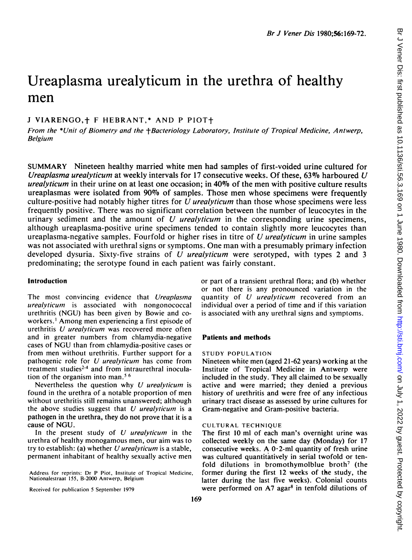# Ureaplasma urealyticum in the urethra of healthy men

# J VIARENGO, + F HEBRANT, \* AND P PIOT+

From the \*Unit of Biometry and the +Bacteriology Laboratory, Institute of Tropical Medicine, Antwerp, Belgium

SUMMARY Nineteen healthy married white men had samples of first-voided urine cultured for Ureaplasma urealyticum at weekly intervals for 17 consecutive weeks. Of these, 63% harboured U urealyticum in their urine on at least one occasion; in  $40\%$  of the men with positive culture results ureaplasmas were isolated from 90% of samples. Those men whose specimens were frequently culture-positive had notably higher titres for  $U$  *urealyticum* than those whose specimens were less frequently positive. There was no significant correlation between the number of leucocytes in the urinary sediment and the amount of  $U$  *urealyticum* in the corresponding urine specimens, although ureaplasma-positive urine specimens tended to contain slightly more leucocytes than ureaplasma-negative samples. Fourfold or higher rises in titre of U *urealyticum* in urine samples was not associated with urethral signs or symptoms. One man with a presumably primary infection developed dysuria. Sixty-five strains of  $U$  *urealyticum* were serotyped, with types 2 and 3 predominating; the serotype found in each patient was fairly constant.

# Introduction

The most convincing evidence that Ureaplasma  $urealyticum$  is associated with nongonococcal urethritis (NGU) has been given by Bowie and coworkers.' Among men experiencing <sup>a</sup> first episode of urethritis U urealyticum was recovered more often and in greater numbers from chlamydia-negative cases of NGU than from chlamydia-positive cases or from men without urethritis. Further support for a pathogenic role for U urealyticum has come from treatment studies<sup>2-4</sup> and from intraurethral inoculation of the organism into man.<sup>56</sup>

Nevertheless the question why  $U$  urealyticum is found in the urethra of a notable proportion of men without urethritis still remains unanswered; although the above studies suggest that  $U$  *urealyticum* is a pathogen in the urethra, they do not prove that it is a cause of NGU.

In the present study of  $U$  *urealyticum* in the urethra of healthy monogamous men, our aim was to try to establish: (a) whether  $U$  *urealyticum* is a stable, permanent inhabitant of healthy sexually active men

Address for reprints: Dr P Piot, Institute of Tropical Medicine, Nationalestraat 155, B-2000 Antwerp, Belgium

Received for publication 5 September 1979

or part of a transient urethral flora; and (b) whether or not there is any pronounced variation in the quantity of U *urealyticum* recovered from an individual over a period of time and if this variation is associated with any urethral signs and symptoms.

### Patients and methods

#### STUDY POPULATION

Nineteen white men (aged 21-62 years) working at the Institute of Tropical Medicine in Antwerp were included in the study. They all claimed to be sexually active and were married; they denied a previous history of urethritis and were free of any infectious urinary tract disease as assessed by urine cultures for Gram-negative and Gram-positive bacteria.

#### CULTURAL TECHNIQUE

The first 10 ml of each man's overnight urine was collected weekly on the same day (Monday) for 17 consecutive weeks. A  $0.2$ -ml quantity of fresh urine was cultured quantitatively in serial twofold or tenfold dilutions in bromothymolblue broth<sup>7</sup> (the former during the first 12 weeks of the study, the latter during the last five weeks). Colonial counts were performed on  $A7$  agar<sup>8</sup> in tenfold dilutions of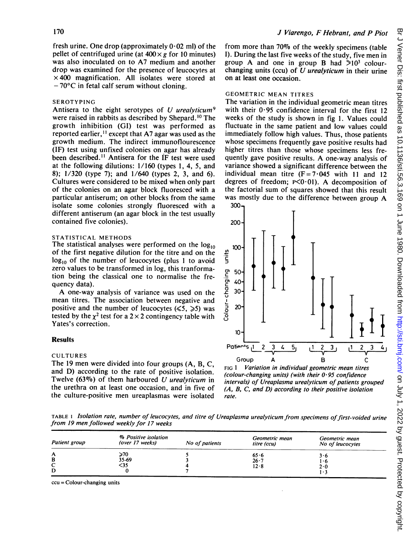fresh urine. One drop (approximately  $0.02$  ml) of the pellet of centrifuged urine (at  $400 \times g$  for 10 minutes) was also inoculated on to A7 medium and another drop was examined for the presence of leucocytes at  $\times$  400 magnification. All isolates were stored at  $-70^{\circ}$ C in fetal calf serum without cloning.

# SEROTYPING

Antisera to the eight serotypes of U urealyticum<sup>9</sup> were raised in rabbits as described by Shepard.<sup>10</sup> The growth inhibition (GI) test was performed as reported earlier,<sup>11</sup> except that A7 agar was used as the growth medium. The indirect immunoflourescence (IF) test using unfixed colonies on agar has already been described.<sup>11</sup> Antisera for the IF test were used at the following dilutions: 1/160 (types 1, 4, 5, and 8); 1/320 (type 7); and 1/640 (types 2, 3, and 6). Cultures were considered to be mixed when only part of the colonies on an agar block fluoresced with a particular antiserum; on other blocks from the same isolate some colonies strongly fluoresced with a different antiserum (an agar block in the test usually contained five colonies).

## STATISTICAL METHODS

The statistical analyses were performed on the  $log_{10}$ of the first negative dilution for the titre and on the  $log_{10}$  of the number of leucocytes (plus 1 to avoid zero values to be transformed in log, this tranformation being the classical one to normalise the frequency data).

A one-way analysis of variance was used on the mean titres. The association between negative and positive and the number of leucocytes  $(\le 5, \ge 5)$  was tested by the  $\chi^2$  test for a 2 × 2 contingency table with Yates's correction.

#### Results

#### CULTURES

The <sup>19</sup> men were divided into four groups (A, B, C, and D) according to the rate of positive isolation. Twelve (63%) of them harboured  $U$  urealyticum in the urethra on at least one occasion, and in five of the culture-positive men ureaplasmas were isolated

from more than 70% of the weekly specimens (table I). During the last five weeks of the study, five men in group A and one in group B had  $>10^3$  colourchanging units (ccu) of  $U$  *urealyticum* in their urine on at least one occasion.

# GEOMETRIC MEAN TITRES

The variation in the individual geometric mean titres with their  $0.95$  confidence interval for the first 12 weeks of the study is shown in fig 1. Values could fluctuate in the same patient and low values could immediately follow high values. Thus, those patients whose specimens frequently gave positive results had higher titres than those whose specimens less frequently gave positive results. A one-way analysis of variance showed a significant difference between the individual mean titre  $(F = 7.045$  with 11 and 12 degrees of freedom;  $P \le 0.01$ ). A decomposition of the factorial sum of squares showed that this result was mostly due to the difference between group A 300,



FIG <sup>I</sup> Variation in individual geometric mean titres (colour-changing units) (with their  $0.95$  confidence intervals) of Ureaplasma urealyticum of patients grouped (A, B, C, and D) according to their positive isolation rate.

TABLE 1 Isolation rate, number of leucocytes, and titre of Ureaplasma urealyticum from specimens of first-voided urine from 19 men followed weekly for 17 weeks

| Patient group    | % Positive isolation<br>(over 17 weeks) | No of patients | Geometric mean<br>titre (ccu) | Geometric mean<br>No of leucocytes |  |  |
|------------------|-----------------------------------------|----------------|-------------------------------|------------------------------------|--|--|
| A<br>в<br>◡<br>D | ≽70<br>35-69<br><35                     |                | 65.6<br>$26 - 7$<br>$12-8$    | 3.6<br>1.6<br>2.0<br>1۰3           |  |  |

ccu = Colour-changing units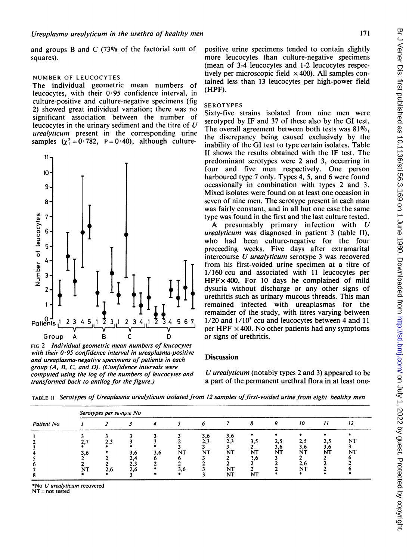and groups B and C  $(73\%$  of the factorial sum of squares).

## NUMBER OF LEUCOCYTES

The individual geometric mean numbers of leucocytes, with their 0.95 confidence interval, in culture-positive and culture-negative specimens (fig 2) showed great individual variation; there was no significant association between the number of leucocytes in the urinary sediment and the titre of  $U$ urealyticum present in the corresponding urine samples  $(\chi^2 = 0.782, P = 0.40)$ , although culture-



FIG 2 Individual geometric mean numbers of leucocytes with their  $0.95$  confidence interval in ureaplasma-positive and ureaplasma-negative specimens of patients in each group (A, B, C, and D). (Confidence intervals were computed using the log of the numbers of leucocytes and transformed back to antilog for the figure.)

positive urine specimens tended to contain slightly more leucocytes than culture-negative specimens (mean of 3-4 leucocytes and 1-2 leucocytes respectively per microscopic field  $\times$  400). All samples contained less than 13 leucocytes per high-power field (HPF).

#### SEROTYPES

Sixty-five strains isolated from nine men were serotyped by IF and 37 of these also by the GI test. The overall agreement between both tests was  $81\%$ . the discrepancy being caused exclusively by the inability of the GI test to type certain isolates. Table II shows the results obtained with the IF test. The predominant serotypes were 2 and 3, occurring in four and five men respectively. One person harboured type 7 only. Types 4, 5, and 6 were found occasionally in combination with types 2 and 3. Mixed isolates were found on at least one occasion in seven of nine men. The serotype present in each man was fairly constant, and in all but one case the same type was found in the first and the last culture tested.

A presumably primary infection with  $U$ urealyticum was diagnosed in patient 3 (table II), who had been culture-negative for the four preceeding weeks. Five days after extramarital intercourse U urealyticum serotype <sup>3</sup> was recovered from his first-voided urine specimen at a titre of 1/160 ccu and associated with 11 leucocytes per  $HPF \times 400$ . For 10 days he complained of mild dysuria without discharge or any other signs of urethritis such as urinary mucous threads. This man remained infected with ureaplasmas for the remainder of the study, with titres varying between  $1/20$  and  $1/10<sup>5</sup>$  ccu and leucocytes between 4 and 11 per HPF  $\times$  400. No other patients had any symptoms or signs of urethritis.

## **Discussion**

U urealyticum (notably types <sup>2</sup> and 3) appeared to be a part of the permanent urethral flora in at least one-

TABLE II Serotypes of Ureaplasma urealyticum isolated from 12 samples of first-voided urine from eight healthy men

| Patient No | Serotypes per sumple No |            |            |     |           |                  |                              |                        |                  |                               |                  |          |
|------------|-------------------------|------------|------------|-----|-----------|------------------|------------------------------|------------------------|------------------|-------------------------------|------------------|----------|
|            |                         |            |            |     |           |                  |                              |                        |                  | 10                            | 11               |          |
|            | 3,6<br>NT               | 2.3<br>2,6 | 3,6<br>2,6 | 3.6 | NT<br>3,6 | 3.6<br>2.3<br>NT | 3,6<br>2,3<br>NT<br>NT<br>NT | 3.5<br>NT<br>2.6<br>NT | 2,5<br>3,6<br>NT | 2,5<br>3,6<br>NT<br>2,6<br>NT | 2,5<br>3,0<br>NT | NT<br>NT |

\*No U urealyticum recovered

NT = not tested